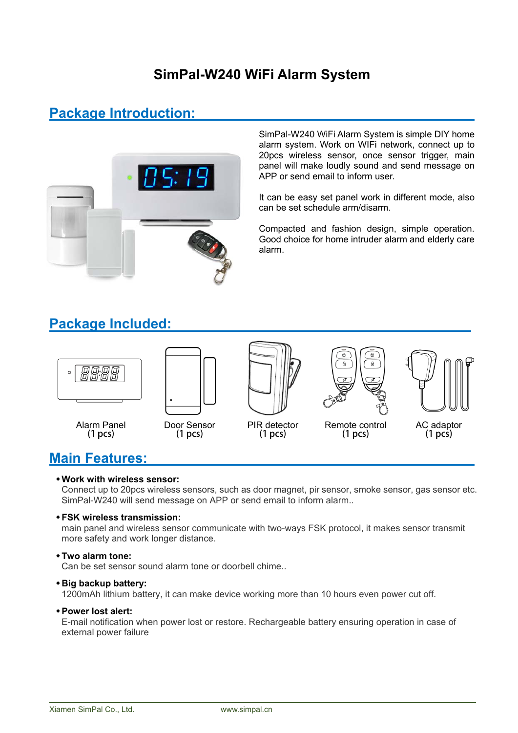### **SimPal-W240 WiFi Alarm System**

### **Package Introduction:**



SimPal-W240 WiFi Alarm System is simple DIY home alarm system. Work on WIFi network, connect up to 20pcs wireless sensor, once sensor trigger, main panel will make loudly sound and send message on APP or send email to inform user.

It can be easy set panel work in different mode, also can be set schedule arm/disarm.

Compacted and fashion design, simple operation. Good choice for home intruder alarm and elderly care alarm.

### **Package Included:**



### **Main Features:**

#### **Work with wireless sensor:**

Connect up to 20pcs wireless sensors, such as door magnet, pir sensor, smoke sensor, gas sensor etc. SimPal-W240 will send message on APP or send email to inform alarm..

#### **FSK wireless transmission:**

main panel and wireless sensor communicate with two-ways FSK protocol, it makes sensor transmit more safety and work longer distance.

#### **Two alarm tone:**

Can be set sensor sound alarm tone or doorbell chime..

#### **Big backup battery:**

1200mAh lithium battery, it can make device working more than 10 hours even power cut off.

#### **Power lost alert:**

E-mail notification when power lost or restore. Rechargeable battery ensuring operation in case of external power failure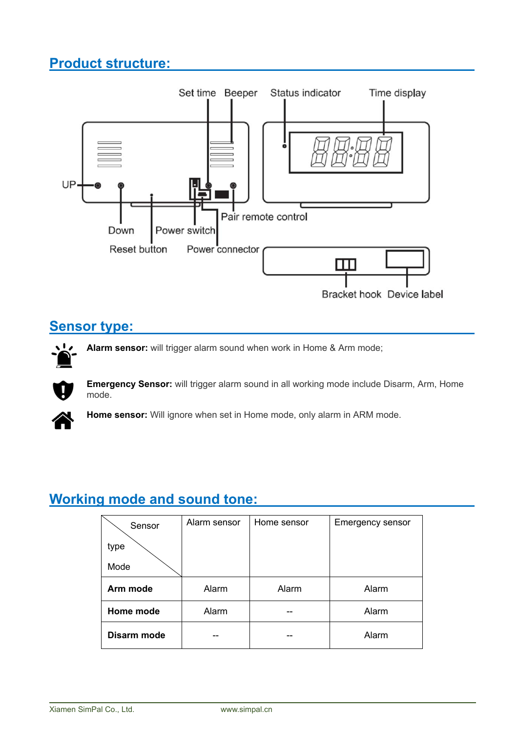## **Product structure:**



### **Sensor type:**

**Alarm sensor:** will trigger alarm sound when work in Home & Arm mode;  $\mathbf{L}$ 

**Emergency Sensor:** will trigger alarm sound in all working mode include Disarm, Arm, Home mode.



**Home sensor:** Will ignore when set in Home mode, only alarm in ARM mode.

## **Working mode and sound tone:**

| Sensor      | Alarm sensor | Home sensor | <b>Emergency sensor</b> |
|-------------|--------------|-------------|-------------------------|
| type        |              |             |                         |
| Mode        |              |             |                         |
| Arm mode    | Alarm        | Alarm       | Alarm                   |
| Home mode   | Alarm        |             | Alarm                   |
| Disarm mode |              |             | Alarm                   |